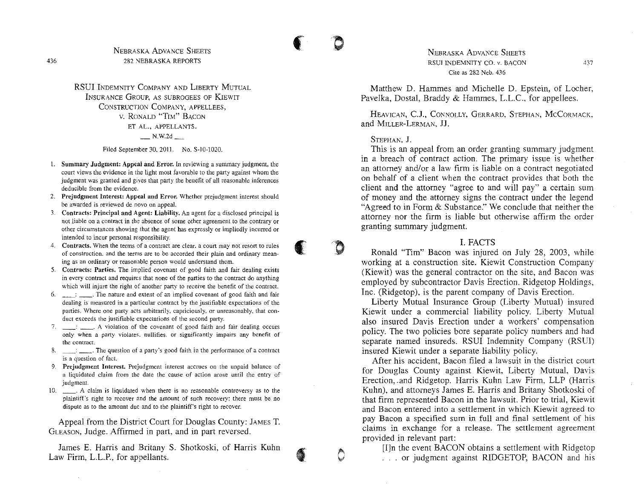RSUI INDEMNITY COMPANY AND LIBERTY MUTUAL INSURANCE GROUP, AS SUBROGEES OF KIEWIT CONSTRUCTION COMPANY, APPELLEES, v. RONALD "TIM" BACON ET AL., APPELLANTS.  $N$ , W.2d  $\_\_\_\_\_\$ 

Filed September 30, 2011. No. \$-10-1020.

- 1. Summary Judgment: Appeal and Error. In reviewing a summary judgment, the court views the evidence in the light most favorable to the party against whom the judgment was granted and gives that party the benefit of all reasonable inferences deducible from the evidence.
- 2. Prejudgment Interest: Appeal and Error. Whether prejudgment interest should be awarded is reviewed de novo on appeal.
- 3. Contracts: Principal and Agent: Liability. An agent for a disclosed principal is not liable on a contract in the absence of some other agreement to the contrary or other circumstances showing that the agent has expressly or impliedly incurred or intended to incur personal responsibility.
- 4. Contracts. When the terms of a contract are clear, a court may not resort to rules of construction. and the terms are to be accorded their plain and ordinary meaning as an ordinary or reasonable person would understand them.
- 5. Contracts: Parties. The implied covenant of good faith and fair dealing exists in every contract and requires that none of the parties to the contract do anything which will injure the right of another party to receive the benefit of the contract.
- $6.$   $\Box$ : The nature and extent of an implied covenant of good faith and fair dealing is measured in a particular contract by the justifiable expectations of the parties. Where one party acts arbitrarily, capriciously, or unreasonably, that conduct exceeds the justifiable expectations of the second party.
- 7.  $\therefore$  A violation of the covenant of good faith and fair dealing occurs only when a party violates. nullifies. or significantly impairs any benefit of the contract.
- 8. \_\_\_: \_\_\_. The question of a party's good faith in the performance of a contract is a question of fact.
- 9. Prejudgment Interest. Prejudgment interest accrues on the unpaid balance of a liquidated claim from the date the cause of action arose until the entry of judgment.
- 10. \_\_. A claim is liquidated when there is no reasonable controversy as to the plaintiff's right to recover and the amount of such recovery; there must be no dispute as to the amount due and to the plaintiff's right to recover.

Appeal from the District Court for Douglas County: JAMES T. GLEASON, Judge. Affirmed in part, and in part reversed.

James E. Harris and Britany S. Shotkoski, of Harris Kuhn Law Firm, L.L.P., for appellants.

NEBRASKA ADVANCE SHEETS RSUI INDEMNITY CO. v. BACON Cite as 282 Neb. 436

Matthew D. Hammes and Michelle D. Epstein, of Locher, Pavelka, Dostal, Braddy & Hammes, L.L.C., for appellees.

HEAVICAN, C.l, CONNOLLY, GERRARD, STEPHAN, MCCORMACK, and MILLER-LERMAN, JJ.

#### STEPHAN, J.

('

o

f\ '"

the contract of the contract of the contract of the contract of the contract of the contract of the contract of the contract of the contract of the contract of the contract of the contract of the contract of the contract o

This is an appeal from an order granting summary judgment in a breach of contract action. The primary issue is whether an attorney and/or a law firm is liable on a contract negotiated on behalf of a client when the contract provides that both the client and the attorney "agree to and will pay" a certain sum of money and the attorney signs the contract under the legend "Agreed to in Form & Substance." We conclude that neither the attorney nor the firm is liable but otherwise affirm the order granting summary judgment.

I. FACTS

Ronald "Tim" Bacon was injured on July 28, 2003, while working at a construction site. Kiewit Construction Company (Kiewit) was the general contractor on the site, and Bacon was employed by subcontractor Davis Erection. Ridgetop Holdings, Inc. (Ridgetop), is the parent company of Davis Erection.

Liberty Mutual Insurance Group (Liberty Mutual) insured Kiewit under a commercial liability policy. Liberty Mutual also insured Davis Erection under a workers' compensation policy. The two policies bore separate policy numbers and had separate named insureds. RSUI Indemnity Company (RSUI) insured Kiewit under a separate liability policy.

After his accident, Bacon filed a lawsuit in the district court for Douglas County against Kiewit, Liberty Mutual, Davis Erection, .and Ridgetop. Harris Kuhn Law Firm, LLP (Harris Kuhn), and attorneys James E. Harris and Britany Shotkoski of that firm represented Bacon in the lawsuit. Prior to trial, Kiewit and Bacon entered into a settlement in which Kiewit agreed to pay Bacon a specified sum in full and final settlement of his claims in exchange for a release. The settlement agreement provided in relevant part:

[I]n the event BACON obtains a settlement with Ridgetop ... or judgment against RIDGETOP, BACON and his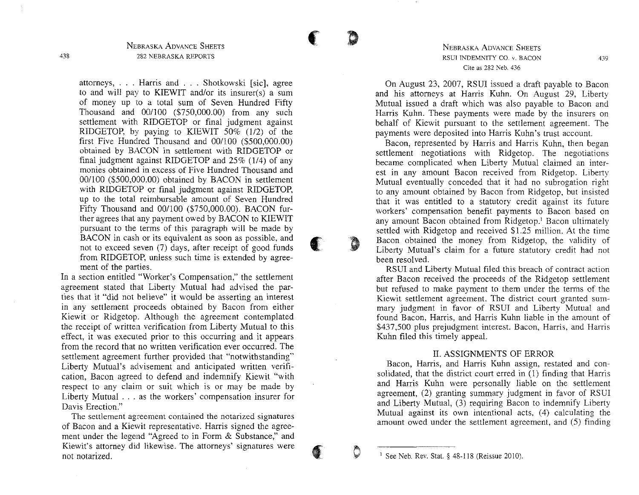attorneys, ... Harris and ... Shotkowski [sic], agree to and will pay to KIEWIT and/or its insurer(s) a sum of money up to a total sum of Seven Hundred Fifty Thousand and  $00/100$  (\$750,000.00) from any such settlement with RIDGETOP or final judgment against RIDGETOP, by paying to KIEWIT 50% (1/2) of the first Five Hundred Thousand and  $00/100$  (\$500,000.00) obtained by BACON in settlement with RIDGETOP or final judgment against RIDGETOP and 25% (1/4) of any monies obtained in excess of Five Hundred Thousand and 00/100 (\$500,000.00) obtained by BACON in settlement with RIDGETOP or final judgment against RIDGETOP, up to the total reimbursable amount of Seven Hundred Fifty Thousand and 001I00 (\$750,000.00). BACON further agrees that any payment owed by BACON to KIEWIT pursuant to the terms of this paragraph will be made by BACON in cash or its equivalent as soon as possible, and not to exceed seven (7) days, after receipt of good funds from RIDGETOP, unless such time is extended by agreement of the parties.

In a section entitled "Worker's Compensation," the settlement agreement stated that Liberty Mutual had advised the parties that it "did not believe" it would be asserting an interest in any settlement proceeds obtained by Bacon from either Kiewit or Ridgetop. Although the agreement contemplated the receipt of written verification from Liberty Mutual to this effect, it was executed prior to this occurring and it appears from the record that no written verification ever occurred. The settlement agreement further provided that "notwithstanding" Liberty Mutual's advisement and anticipated written verification, Bacon agreed to defend and indemnify Kiewit "with respect to any claim or suit which is or may be made by Liberty Mutual ... as the workers' compensation insurer for Davis Erection."

**The settlement agreement contained the notarized signatures** of Bacon and a Kiewit representative. Harris signed the agreement under the legend "Agreed to in Form & Substance," and Kiewit's attorney did likewise. The attorneys' signatures were not notarized.

### NEBRASKA ADVANCE SHEETS **RSUI INDEMNITY CO. v. BACON Cite as 282 Neb. 436**

On August 23, 2007, RSUI issued a draft payable to Bacon and his attorneys at Harris Kuhn. On August 29, Liberty Mutual issued a draft which was also payable to Bacon and Harris Kuhn. These payments were made by the insurers on behalf of Kiewit pursuant to the settlement agreement. The payments were deposited into Harris Kuhn's trust account.

Bacon, represented by Harris and Harris Kuhn, then began settlement negotiations with Ridgetop. The negotiations became complicated when Liberty Mutual claimed an interest in any amount Bacon received from Ridgetop. Liberty Mutual eventually conceded that it had no subrogation right to any amount obtained by Bacon from Ridgetop, but insisted that it was entitled to a statutory credit against its future workers' compensation benefit payments to Bacon based on any amount Bacon obtained from Ridgetop.' Bacon ultimately settled with Ridgetop and received \$1.25 million. At the time Bacon obtained the money from Ridgetop, the validity of Liberty Mutual's claim for a future statutory credit had not been resolved.

RSUI and Liberty Mutual filed this breach of contract action after Bacon received the proceeds of the Ridgetop settlement but refused to make payment to them under the terms of the Kiewit settlement agreement. The district court granted summary judgment in favor of RSUI and Liberty Mutual and found Bacon, Harris, and Harris Kuhn liable in the amount of \$437,500 plus prejudgment interest. Bacon, Harris, and Harris Kuhn filed this timely appeal.

# II. ASSIGNMENTS OF ERROR

Bacon, Harris, and Harris Kuhn assign, restated and consolidated, that the district court erred in (1) finding that Harris and Harris Kuhn were personally liable on the settlement agreement, (2) granting summary judgment in favor of RSUI and Liberty Mutual, (3) requiring Bacon to indemnify Liberty Mutual against its own intentional acts, (4) calculating the amount owed under the settlement agreement, and (5) finding

 $\left( \frac{1}{2} \right)$ 

o

 $\blacklozenge$ 

•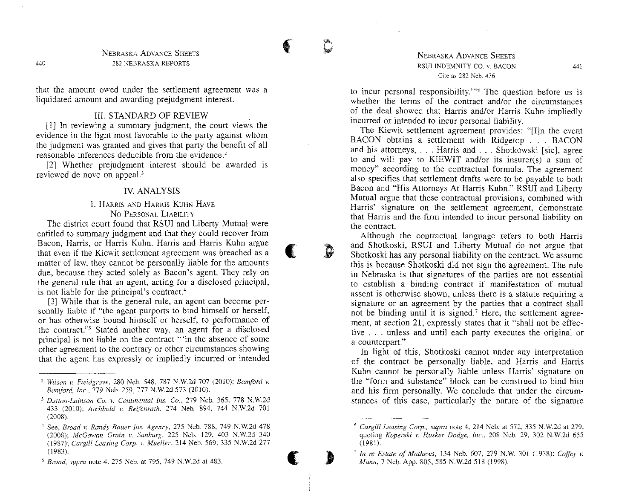$\bullet$ 

(

:0

(

**)**<br>المسائلة

that the amount owed under the settlement agreement was a liquidated amount and awarding prejudgment interest.

# **III. STANDARD OF REVIEW**

[1] In reviewing a summary judgment, the court views the evidence in the light most favorable to the party against whom the judgment was granted and gives that party the benefit of all reasonable inferences deducible from the evidence.'

[2] Whether prejudgment interest should be awarded is reviewed de novo on appeal.'

### IV. ANALYSIS

# 1. HARRIS AND HARRIS KUHN HAVE No PERSONAL LIABILITY

The district court found that RSUI and Liberty Mutual were entitled to summary judgment and that they could recover from Bacon, Harris, or Harris Kuhn, Harris and Harris Kuhn argue that even if the Kiewit settlement agreement was breached as a matter of law, they cannot be personally liable for the amounts due, because they acted solely as Bacon's agent. They rely on the general rule that an agent, acting for a disclosed principal, is not liable for the principal's contract.<sup>4</sup>

[3] While that is the general rule, an agent can become personally liable if "the agent purports to bind himself or herself, or has otherwise bound himself or herself, to performance of the contract."<sup>5</sup> Stated another way, an agent for a disclosed principal is not liable on the contract '''in the absence of some other agreement to the contrary or other circumstances showing that the agent has expressly or impliedly incurred or intended

### NEBRASKA ADVANCE SHEETS RSU! INDEMNITY CO. *v,* BACON **Cite as 282 Neb. 436**

to incur personal responsibility.'''6 The question before us is whether the terms of the contract and/or the circumstances of the deal showed that Harris and/or Harris Kuhn impliedly incurred or intended to incur personal liability,

The Kiewit settlement agreement provides: "[I]n the event BACON obtains a settlement with Ridgetop . . , BACON and his attorneys, . . . Harris and . . . Shotkowski [sic], agree to and will pay to KIEWIT and/or its insurer(s) a sum of money" according to the contractual formula, The agreement also specifies that settlement drafts were to be payable to both Bacon and "His Attorneys At Harris Kuhn," RSUl and Liberty Mutual argue that these contractual provisions, combined with Harris' signature on the settlement agreement, demonstrate that Harris and the firm intended to incur personal liability on the contract.

Although the contractual language refers to both Harris and Shotkoski, RSUI and Liberty Mutual do not argue that Shotkoski has any personal liability on the contract. We assume this is because Shotkoski did not sign the agreement. The rule in Nebraska is that signatures of the parties are not essential to establish a binding contract if manifestation of mutual assent is otherwise shown, unless there is a statute requiring a signature or an agreement by the parties that a contract shall not be binding until it is signed.<sup>7</sup> Here, the settlement agreement, at section 21, expressly states that it "shall not be effective . . . unless and until each party executes the original or a counterpart."

In light of this, Shotkoski cannot under any interpretation of the contract be personally liable, and Harris and Harris Kuhn cannot be personally liable unless Harris' signature on the "form and substance" block can be construed to bind him and his firm personally, We conclude that under the circumstances of this case, particularly the nature of the signature

**440**

<sup>2</sup> *Wilson v. Fieldgrove,* **280 Neb. 548. 787 N.W.2d 707 (2010):** *Bamford v. Bamford,* Inc., 279 Neb, 259, 777 N,w'2d 573 (2010),

*<sup>3</sup> Duuon-Lainson Co. v. Continental Ins. Co.,* **279 Neb. 365. 778 N.\V.2d** 433 (2010); *Archbold v. Reifenrath;* 274 Neb, 894, 744 N,w'2d 701 (2008),

**<sup>4</sup> See.** *Broad v. Randy Bauer Ins. Agency,* **275 Neb. 788, 749 N.W.2d 478** *(2008): McGowan Grain v. Sanburg,* **225 Neb. 129. 403 N.W.2d 340** *(1987); Cargill Leasing Corp. v, Mueller,* 214 Neb. 569, 335 Nw.zd 277 (1983),

*<sup>5</sup> Broad, supra* **note 4. 275 Neb. at 795. 749 N.W.2d at 483.**

<sup>6</sup> *Cargill Leasing Corp., supra* **note 4. 214 Neb. at 572, 335 N.W.2d at 279. quoting** *Koperski v. Husker Dodge, InC'..* **208 Neb. 29, 302 N.W.2d 655** (1981),

<sup>7</sup> *In re Estate of Mathews,* 134 Neb, 607, 279 NW. 301 (1938); *Coffey v, Mann*, 7 Neb. App. 805, 585 N.W.2d 518 (1998).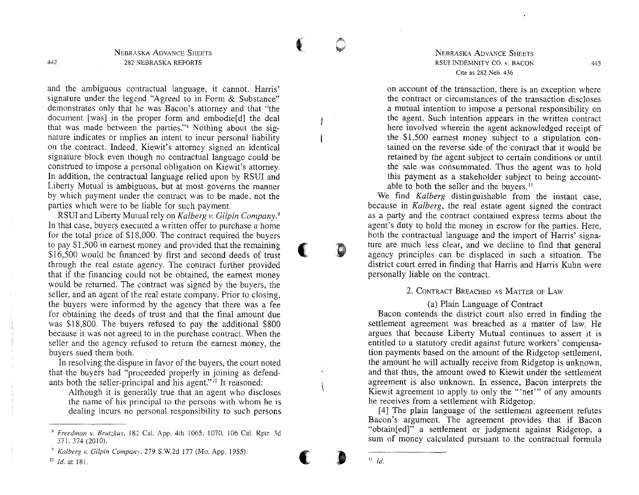~.

(

D

 $\overline{\phantom{a}}$ 

)<br>()<br>()

11 *ld.*

and the ambiguous contractual language, it cannot. Harris' signature under the legend "Agreed to in Form & Substance" demonstrates only that he was Bacon's attorney and that "the document [was] in the proper form and embodie[d] the deal that was made between the parties." Nothing about the signature indicates or implies an intent to incur personal liability on the contract. Indeed, Kiewit's attorney signed an identical signature block even though no contractual language could be construed to impose a personal obligation on Kiewit's attorney. In addition, the contractual language relied upon by RSVI and Liberty Mutual is ambiguous, but at most governs the manner by which payment under the contract was to be made, not the parties which were to be liable for such payment.

RSUI and Liberty Mutual rely on *Kalberg* v. *Gilpin Company.'* In that case, buyers executed a written offer to purchase a home for the total price of \$18,000. The contract required the buyers to pay \$1,500 in earnest money and provided that the remaining \$16,500 would be financed by first and second deeds of trust through the real estate agency. The contract further provided that if the financing could not be obtained, the earnest money would be returned. The contract was signed by the buyers, the seller, and an agent of the real estate company. Prior to closing, the buyers were informed by the agency that there was a fee for obtaining the deeds of trust and that the final amount due was \$18,800. The buyers refused to pay the additional \$800 because it was not agreed to in the purchase contract. When the seller and the agency refused to return the earnest money, the buyers sued them both.

In resolving the dispute in favor of the buyers, the court noted that the buyers had "proceeded properly in joining as defendants both the seller-principal and his agent."<sup>10</sup> It reasoned:

Although it is generally true that an agent who discloses the name of his principal to the persons with whom he is dealing incurs no personal responsibility to such persons

NEBRASKA ADVANCE SHEETS RSUI INDEMNITY CO. v. BACON Cite as 282 Neb. 436

on account of the transaction, there is an exception where the contract or circumstances of the transaction discloses a mutual intention to impose a personal responsibility on the agent. Such intention appears in the written contract here involved wherein the agent acknowledged receipt of the \$1,500 earnest money subject to a stipulation contained on the reverse side of the contract that it would be retained by the agent subject to certain conditions or until the sale was consummated. Thus the agent was to hold this payment as a stakeholder subject to being accountable to both the seller and the buyers.<sup>11</sup>

We find *Kalberg* distinguishable from the instant case, because in *Kalberg,* the real estate agent signed the contract as a party and the contract contained express terms about the agent's duty to hold the money in escrow for the parties. Here, both the contractual language and the import of Harris' signature are much less clear, and we decline to find that general agency principles can be displaced in such a situation. The district court erred in finding that Harris and Harris Kuhn were personally liable on the contract.

# 2. CONTRACT BREACHED AS MATTER OF LAW

# (a) Plain Language of Contract

Bacon contends the district court also erred in finding the settlement agreement was breached as a matter of law. He argues that because Liberty Mutual continues to assert it is entitled to a statutory credit against future workers' compensation payments based on the amount of the Ridgetop settlement, the amount he will actually receive from Ridgetop is unknown, and that thus, the amount owed to Kiewit under the settlement agreement is also unknown. In essence, Bacon interprets the Kiewit agreement to apply to only the "'net'" of any amounts he receives from a settlement with Ridgetop.

[4] The plain language of the settlement agreement refutes Bacon's argument. The agreement provides that if Bacon "obtain[ed]" a settlement or judgment against Ridgetop, a sum of money calculated pursuant to the contractual formula

442

<sup>S</sup> *Freedman v. Brutzkus,* 182 CaL App. 4th 1065, 1070. 106 Cal. Rptr. 3d 371, 374 (2010).

<sup>&</sup>lt;) *Kalberg v. Gilpin Company.* 279 S.W.2d 177 (Mo. App. 1955). <sup>10</sup> *ld.* at 181.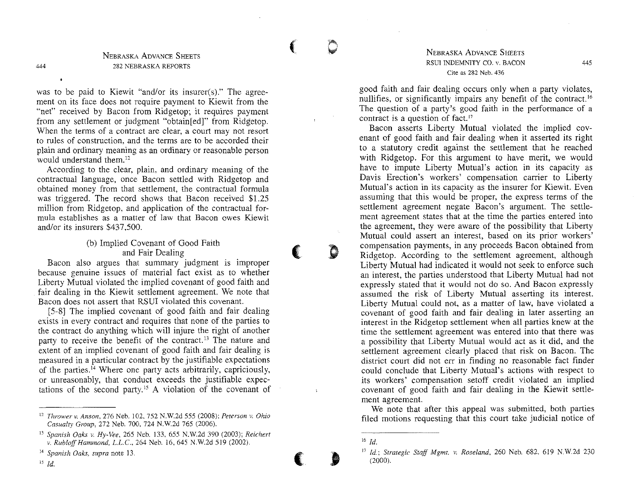$\blacklozenge$ 

**(1974)** 

(

**Science** 

NEBRASKA ADVANCE SHEETS 282 NEBRASKA REPORTS

444

was to be paid to Kiewit "and/or its insurer(s)." The agreement on its face does not require payment to Kiewit from the "net" received by Bacon from Ridgetop; it requires payment from any settlement or judgment "obtain [ed]" from Ridgetop. When the terms of a contract are clear, a court may not resort to rules of construction, and the terms are to be accorded their plain and ordinary meaning as an ordinary or reasonable person would understand them.<sup>12</sup>

According to the clear, plain, and ordinary meaning of the contractual language, once Bacon settled with Ridgetop and obtained money from that settlement, the contractual formula was triggered. The record shows that Bacon received \$1.25 million from Ridgetop, and application of the contractual formula establishes as a matter of law that Bacon owes Kiewit and/or its insurers \$437,500.

# (b) Implied Covenant of Good Faith and Fair Dealing

Bacon also argues that summary judgment is improper because genuine issues of material fact exist as to whether Liberty Mutual violated the implied covenant of good faith and fair dealing in the Kiewit settlement agreement. We note that Bacon does not assert that RSUI violated this covenant.

[5-8] The implied covenant of good faith and fair dealing exists in every contract and requires that none of the parties to the contract do anything which will injure the right of another party to receive the benefit of the contract.<sup>13</sup> The nature and extent of an implied covenant of good faith and fair dealing is measured in a particular contract by the justifiable expectations of the parties." Where one party acts arbitrarily, capriciously, or unreasonably, that conduct exceeds the justifiable expectations of the second party." A violation of the covenant of

NEBRASKA ADVANCE SHEETS RSUl INDEMNITY CO. v. BACON **Cite as 282 Neb. 436**

good faith and fair dealing occurs only when a party violates, nullifies, or significantly impairs any benefit of the contract.<sup>16</sup> The question of a party's good faith in the performance of a contract is a question of fact."

Bacon asserts Liberty Mutual violated the implied covenant of good faith and fair dealing when it asserted its right to a statutory credit against the settlement that he reached with Ridgetop. For this argument to have merit, we would have to impute Liberty Mutual's action in its capacity as Davis Erection's workers' compensation carrier to Liberty Mutual's action in its capacity as the insurer for Kiewit. Even assuming that this would be proper, the express terms of the settlement agreement negate Bacon's argument. The settlement agreement states that at the time the parties entered into the agreement, they were aware of the possibility that Liberty Mutual could assert an interest, based on its prior workers' compensation payments, in any proceeds Bacon obtained from Ridgetop. According to the settlement agreement, although Liberty Mutual had indicated it would not seek to enforce such an interest, the parties understood that Liberty Mutual had not expressly stated that it would not do so. And Bacon expressly assumed the risk of Liberty Mutual asserting its interest. Liberty Mutual could not, as a matter of law, have violated a covenant of good faith and fair dealing in later asserting an interest in the Ridgetop settlement when all parties knew at the time the settlement agreement was entered into that there was a possibility that Liberty Mutual would act as it did, and the settlement agreement clearly placed that risk on Bacon. The district court did not err in finding no reasonable fact finder could conclude that Liberty Mutual's actions with respect to its workers' compensation setoff credit violated an implied covenant of good faith and fair dealing in the Kiewit settle**ment agreement.**

We note that after this appeal was submitted, both parties filed motions requesting that this court take judicial notice of

<sup>12</sup> *Thrower* **v.** *Anson,* **276 Neb. 102,752 N.W.2d 555 (2008);** *Peterson* **v.** *Ohio Casualty Group,* 272 Neb. 700. 724 N.W.2d 765 (2006).

<sup>13</sup> *Spanish Oaks v. Hy-uee,* **265 Neb. 133,655 N.W.2d 390 (2003);** *Reichert v. Rubloff Hammond, L.L.C., 264 Neb. 16, 645 N.W.2d 519 (2002).* 

**<sup>14</sup>** *Spanish Oaks, supra* **note 13.**

<sup>15</sup> *ld.*

<sup>16</sup> *ld.*

<sup>17</sup> *ld: Strategic Staff Mgmt. v. Roseland,* 260 Neb. 682. 619 N.W.2d 230 (2000).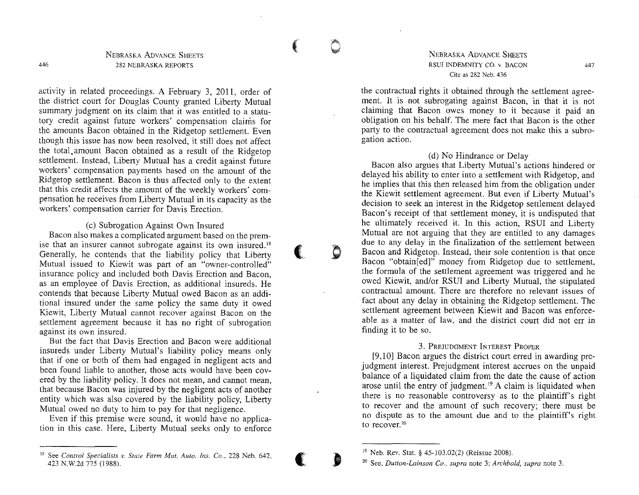**COOM** 

(

.~

**(,**

(**Contract**)

activity in related proceedings. A February 3, 2011, order of the district court for Douglas County granted Liberty Mutual summary judgment on its claim that it was entitled to a statutory credit against future workers' compensation claims for the amounts Bacon obtained in the Ridgetop settlement. Even though this issue has now been resolved, it still does not affect the total, amount Bacon obtained as a result of the Ridgetop settlement. Instead, Liberty Mutual has a credit against future workers' compensation payments based on the amount of the Ridgetop settlement. Bacon is thus affected only to the extent that this credit affects the amount of the weekly workers' compensation he receives from Liberty Mutual in its capacity as the workers' compensation carrier for Davis Erection.

(c) Subrogation Against Own Insured Bacon also makes a complicated argument based on the premise that an insurer cannot subrogate against its own insured." Generally, he contends that the liability policy that Liberty Mutual issued to Kiewit was part of an "owner-controlled"

insurance policy and included both Davis Erection and Bacon, as an employee of Davis Erection, as additional insureds. He contends that because Liberty Mutual owed Bacon as an additional insured under the same policy the same duty it owed Kiewit, Liberty Mutual cannot recover against Bacon on the settlement agreement because it has no right of subrogation **against its own insured.**

But the fact that Davis Erection and Bacon were additional insureds under Liberty Mutual's liability policy means only that if one or both of them had engaged in negligent acts and been found liable to another, those acts would have been covered by the liability policy. It does not mean, and cannot mean, that because Bacon was injured by the negligent acts of another entity which was also covered by the liability policy, Liberty Mutual owed no duty to him to pay for that negligence.

Even if this premise were sound, it would have no application in this case. Here, Liberty Mutual seeks only to enforce

### NEBRASKA ADVANCE SHEETS RSUI INDEMNITY CO. v. BACON **Cite as 282 Neb. 436**

the contractual rights it obtained through the settlement agreement. It is not subrogating against Bacon, in that it is not claiming that Bacon owes money to it because it paid an obligation on his behalf. The mere fact that Bacon is the other party to the contractual agreement does not make this a subro**gation action.**

#### (d) No Hindrance or Delay

Bacon also argues that Liberty Mutual's actions hindered or delayed his ability to enter into a settlement with Ridgetop, and he implies that this then released him from the obligation under the Kiewit settlement agreement. But even if Liberty Mutual's decision to seek an interest in the Ridgetop settlement delayed Bacon's receipt of that settlement money, it is undisputed that he ultimately received it. In this action, RSVI and Liberty Mutual are not arguing that they are entitled to any damages due to any delay in the finalization of the settlement between Bacon and Ridgetop. Instead, their sole contention is that once Bacon "obtain[ed]" money from Ridgetop due to settlement, the formula of the settlement agreement was triggered and he owed Kiewit, and/or RSUI and Liberty Mutual, the stipulated contractual amount. There are therefore no relevant issues of fact about any delay in obtaining the Ridgetop settlement. The settlement agreement between Kiewit and Bacon was enforceable as a matter of law, and the district court did not err in finding it to be so.

# 3. PREJUDGMENT INTEREST PROPER

[9,10] Bacon argues the district court erred in awarding prejudgment interest. Prejudgment interest accrues on the unpaid balance of a liquidated claim from the date the cause of action arose until the entry of judgment.<sup>19</sup> A claim is liquidated when there is no reasonable controversy as to the plaintiff's right to recover and the amount of such recovery; there must be no dispute as to the amount due and to the plaintiff's right **to** recover. <sup>20</sup>

<sup>&</sup>lt;sup>18</sup> See *Control Specialists v. State Farm Mut. Auto. Ins. Co.*, 228 Neb. 642, 423 N.W.2d 775 (1988).

<sup>19</sup> Neb. Rev. Stat. § 45-103.02(2) (Reissue 2008).

**<sup>20</sup> See,** *Dutton-Lainson Co., supra* **note 3:** *Archbold, supra* **note 3.**